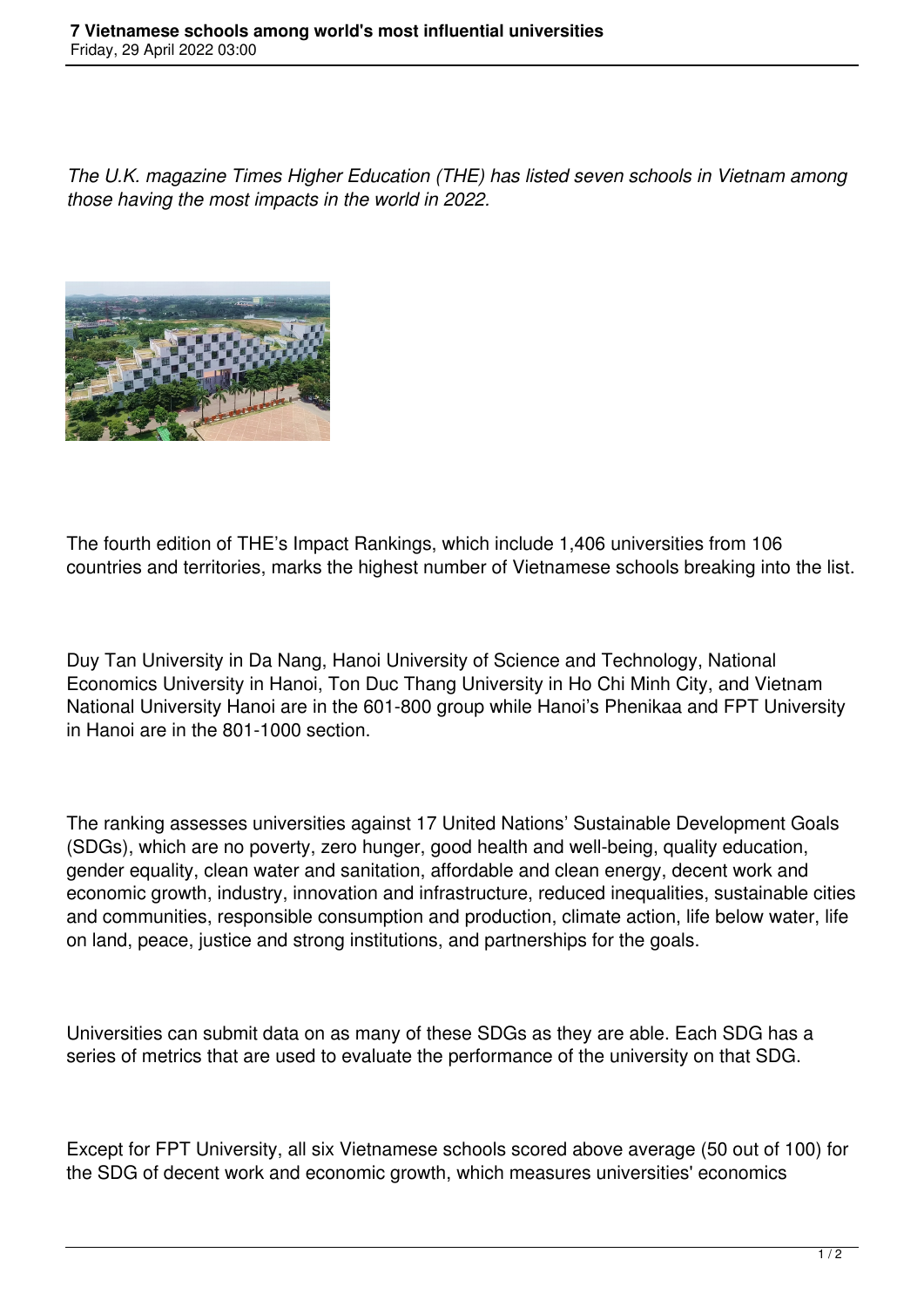*The U.K. magazine Times Higher Education (THE) has listed seven schools in Vietnam among those having the most impacts in the world in 2022.*



The fourth edition of THE's Impact Rankings, which include 1,406 universities from 106 countries and territories, marks the highest number of Vietnamese schools breaking into the list.

Duy Tan University in Da Nang, Hanoi University of Science and Technology, National Economics University in Hanoi, Ton Duc Thang University in Ho Chi Minh City, and Vietnam National University Hanoi are in the 601-800 group while Hanoi's Phenikaa and FPT University in Hanoi are in the 801-1000 section.

The ranking assesses universities against 17 United Nations' Sustainable Development Goals (SDGs), which are no poverty, zero hunger, good health and well-being, quality education, gender equality, clean water and sanitation, affordable and clean energy, decent work and economic growth, industry, innovation and infrastructure, reduced inequalities, sustainable cities and communities, responsible consumption and production, climate action, life below water, life on land, peace, justice and strong institutions, and partnerships for the goals.

Universities can submit data on as many of these SDGs as they are able. Each SDG has a series of metrics that are used to evaluate the performance of the university on that SDG.

Except for FPT University, all six Vietnamese schools scored above average (50 out of 100) for the SDG of decent work and economic growth, which measures universities' economics